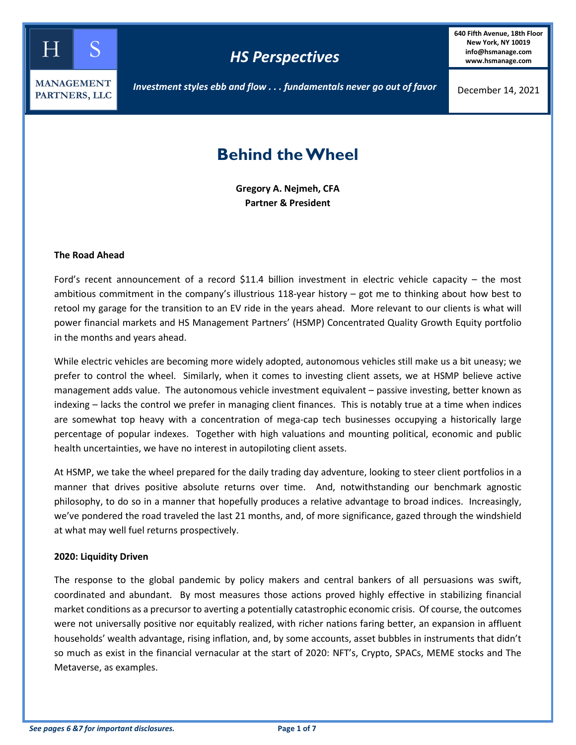

**640 Fifth Avenue, 18th Floor New York, NY 10019 info@hsmanage.com www.hsmanage.com**

# *Investment styles ebb and flow . . . fundamentals never go out of favor*

# **Behind the Wheel**

**Gregory A. Nejmeh, CFA Partner & President**

### **The Road Ahead**

Ford's recent announcement of a record \$11.4 billion investment in electric vehicle capacity – the most ambitious commitment in the company's illustrious 118-year history – got me to thinking about how best to retool my garage for the transition to an EV ride in the years ahead. More relevant to our clients is what will power financial markets and HS Management Partners' (HSMP) Concentrated Quality Growth Equity portfolio in the months and years ahead.

While electric vehicles are becoming more widely adopted, autonomous vehicles still make us a bit uneasy; we prefer to control the wheel. Similarly, when it comes to investing client assets, we at HSMP believe active management adds value. The autonomous vehicle investment equivalent – passive investing, better known as indexing – lacks the control we prefer in managing client finances. This is notably true at a time when indices are somewhat top heavy with a concentration of mega-cap tech businesses occupying a historically large percentage of popular indexes. Together with high valuations and mounting political, economic and public health uncertainties, we have no interest in autopiloting client assets.

At HSMP, we take the wheel prepared for the daily trading day adventure, looking to steer client portfolios in a manner that drives positive absolute returns over time. And, notwithstanding our benchmark agnostic philosophy, to do so in a manner that hopefully produces a relative advantage to broad indices. Increasingly, we've pondered the road traveled the last 21 months, and, of more significance, gazed through the windshield at what may well fuel returns prospectively.

#### **2020: Liquidity Driven**

The response to the global pandemic by policy makers and central bankers of all persuasions was swift, coordinated and abundant. By most measures those actions proved highly effective in stabilizing financial market conditions as a precursor to averting a potentially catastrophic economic crisis. Of course, the outcomes were not universally positive nor equitably realized, with richer nations faring better, an expansion in affluent households' wealth advantage, rising inflation, and, by some accounts, asset bubbles in instruments that didn't so much as exist in the financial vernacular at the start of 2020: NFT's, Crypto, SPACs, MEME stocks and The Metaverse, as examples.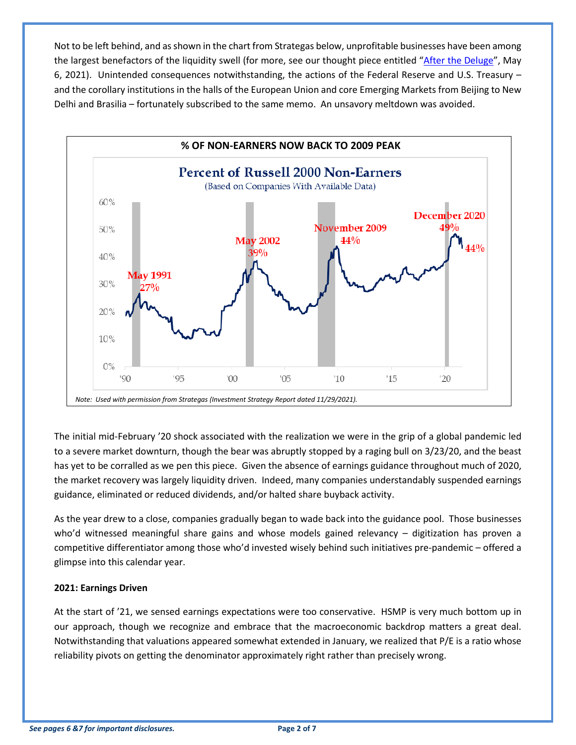Not to be left behind, and as shown in the chart from Strategas below, unprofitable businesses have been among the largest benefactors of the liquidity swell (for more, see our thought piece entitled ["After the Deluge"](https://www.hsmanage.com/after-the-deluge/), May 6, 2021). Unintended consequences notwithstanding, the actions of the Federal Reserve and U.S. Treasury – and the corollary institutions in the halls of the European Union and core Emerging Markets from Beijing to New Delhi and Brasilia – fortunately subscribed to the same memo. An unsavory meltdown was avoided.



The initial mid-February '20 shock associated with the realization we were in the grip of a global pandemic led to a severe market downturn, though the bear was abruptly stopped by a raging bull on 3/23/20, and the beast has yet to be corralled as we pen this piece. Given the absence of earnings guidance throughout much of 2020, the market recovery was largely liquidity driven. Indeed, many companies understandably suspended earnings guidance, eliminated or reduced dividends, and/or halted share buyback activity.

As the year drew to a close, companies gradually began to wade back into the guidance pool. Those businesses who'd witnessed meaningful share gains and whose models gained relevancy – digitization has proven a competitive differentiator among those who'd invested wisely behind such initiatives pre-pandemic – offered a glimpse into this calendar year.

## **2021: Earnings Driven**

At the start of '21, we sensed earnings expectations were too conservative. HSMP is very much bottom up in our approach, though we recognize and embrace that the macroeconomic backdrop matters a great deal. Notwithstanding that valuations appeared somewhat extended in January, we realized that P/E is a ratio whose reliability pivots on getting the denominator approximately right rather than precisely wrong.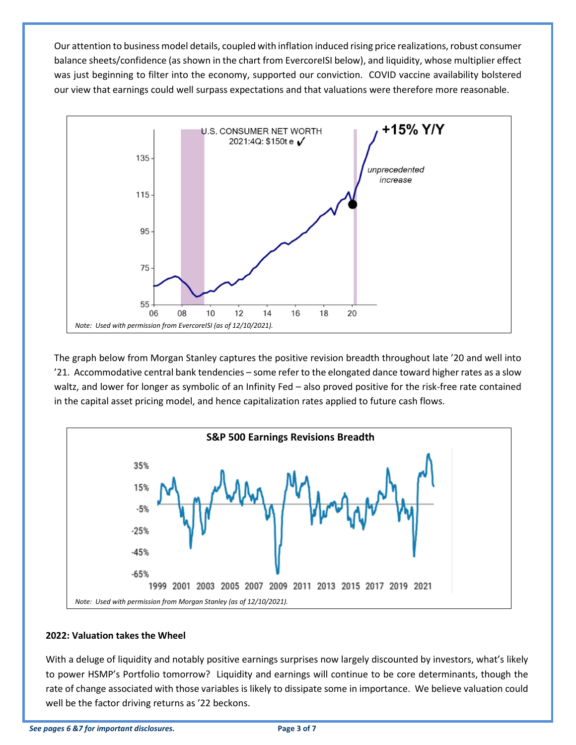Our attention to business model details, coupled with inflation induced rising price realizations, robust consumer balance sheets/confidence (as shown in the chart from EvercoreISI below), and liquidity, whose multiplier effect was just beginning to filter into the economy, supported our conviction. COVID vaccine availability bolstered our view that earnings could well surpass expectations and that valuations were therefore more reasonable.



The graph below from Morgan Stanley captures the positive revision breadth throughout late '20 and well into '21. Accommodative central bank tendencies – some refer to the elongated dance toward higher rates as a slow waltz, and lower for longer as symbolic of an Infinity Fed – also proved positive for the risk-free rate contained in the capital asset pricing model, and hence capitalization rates applied to future cash flows.



## **2022: Valuation takes the Wheel**

With a deluge of liquidity and notably positive earnings surprises now largely discounted by investors, what's likely to power HSMP's Portfolio tomorrow? Liquidity and earnings will continue to be core determinants, though the rate of change associated with those variables is likely to dissipate some in importance. We believe valuation could well be the factor driving returns as '22 beckons.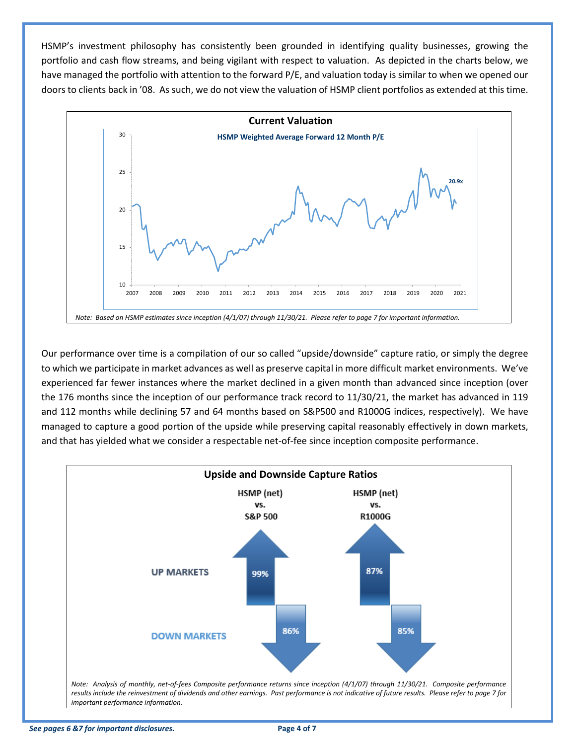HSMP's investment philosophy has consistently been grounded in identifying quality businesses, growing the portfolio and cash flow streams, and being vigilant with respect to valuation. As depicted in the charts below, we have managed the portfolio with attention to the forward P/E, and valuation today is similar to when we opened our doors to clients back in '08. As such, we do not view the valuation of HSMP client portfolios as extended at this time.



Our performance over time is a compilation of our so called "upside/downside" capture ratio, or simply the degree to which we participate in market advances as well as preserve capital in more difficult market environments. We've experienced far fewer instances where the market declined in a given month than advanced since inception (over the 176 months since the inception of our performance track record to 11/30/21, the market has advanced in 119 and 112 months while declining 57 and 64 months based on S&P500 and R1000G indices, respectively). We have managed to capture a good portion of the upside while preserving capital reasonably effectively in down markets, and that has yielded what we consider a respectable net-of-fee since inception composite performance.



*See pages 6 &7 for important disclosures.* **Page 4 of 7**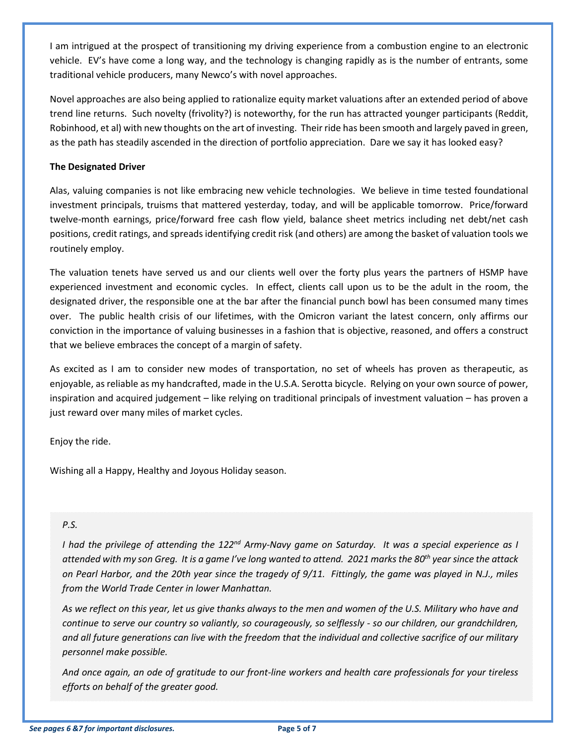I am intrigued at the prospect of transitioning my driving experience from a combustion engine to an electronic vehicle. EV's have come a long way, and the technology is changing rapidly as is the number of entrants, some traditional vehicle producers, many Newco's with novel approaches.

Novel approaches are also being applied to rationalize equity market valuations after an extended period of above trend line returns. Such novelty (frivolity?) is noteworthy, for the run has attracted younger participants (Reddit, Robinhood, et al) with new thoughts on the art of investing. Their ride has been smooth and largely paved in green, as the path has steadily ascended in the direction of portfolio appreciation. Dare we say it has looked easy?

# **The Designated Driver**

Alas, valuing companies is not like embracing new vehicle technologies. We believe in time tested foundational investment principals, truisms that mattered yesterday, today, and will be applicable tomorrow. Price/forward twelve-month earnings, price/forward free cash flow yield, balance sheet metrics including net debt/net cash positions, credit ratings, and spreads identifying credit risk (and others) are among the basket of valuation tools we routinely employ.

The valuation tenets have served us and our clients well over the forty plus years the partners of HSMP have experienced investment and economic cycles. In effect, clients call upon us to be the adult in the room, the designated driver, the responsible one at the bar after the financial punch bowl has been consumed many times over. The public health crisis of our lifetimes, with the Omicron variant the latest concern, only affirms our conviction in the importance of valuing businesses in a fashion that is objective, reasoned, and offers a construct that we believe embraces the concept of a margin of safety.

As excited as I am to consider new modes of transportation, no set of wheels has proven as therapeutic, as enjoyable, as reliable as my handcrafted, made in the U.S.A. Serotta bicycle. Relying on your own source of power, inspiration and acquired judgement – like relying on traditional principals of investment valuation – has proven a just reward over many miles of market cycles.

Enjoy the ride.

Wishing all a Happy, Healthy and Joyous Holiday season.

# *P.S.*

*I had the privilege of attending the 122nd Army-Navy game on Saturday. It was a special experience as I attended with my son Greg. It is a game I've long wanted to attend. 2021 marks the 80th year since the attack on Pearl Harbor, and the 20th year since the tragedy of 9/11. Fittingly, the game was played in N.J., miles from the World Trade Center in lower Manhattan.* 

*As we reflect on this year, let us give thanks always to the men and women of the U.S. Military who have and continue to serve our country so valiantly, so courageously, so selflessly - so our children, our grandchildren, and all future generations can live with the freedom that the individual and collective sacrifice of our military personnel make possible.*

*And once again, an ode of gratitude to our front-line workers and health care professionals for your tireless efforts on behalf of the greater good.*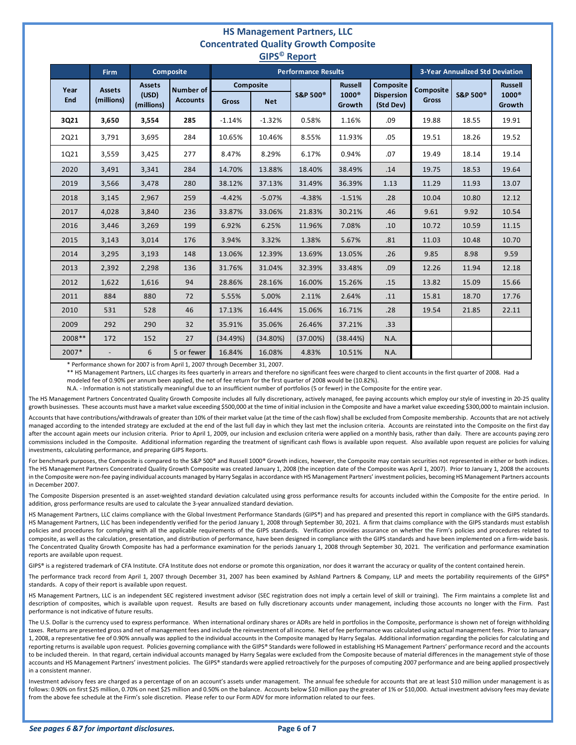#### **HS Management Partners, LLC Concentrated Quality Growth Composite GIPS© Report**

| uiro<br><b>INCANDI</b> |                             |                                      |                                     |                            |            |                     |                        |                                |                                        |                     |                        |
|------------------------|-----------------------------|--------------------------------------|-------------------------------------|----------------------------|------------|---------------------|------------------------|--------------------------------|----------------------------------------|---------------------|------------------------|
|                        | <b>Firm</b>                 | <b>Composite</b>                     |                                     | <b>Performance Results</b> |            |                     |                        |                                | <b>3-Year Annualized Std Deviation</b> |                     |                        |
| Year<br>End            | <b>Assets</b><br>(millions) | <b>Assets</b><br>(USD)<br>(millions) | <b>Number of</b><br><b>Accounts</b> | Composite                  |            |                     | <b>Russell</b>         | Composite                      | <b>Composite</b>                       |                     | <b>Russell</b>         |
|                        |                             |                                      |                                     | Gross                      | <b>Net</b> | <b>S&amp;P 500®</b> | $1000^\circ$<br>Growth | <b>Dispersion</b><br>(Std Dev) | <b>Gross</b>                           | <b>S&amp;P 500®</b> | $1000^\circ$<br>Growth |
| 3Q21                   | 3,650                       | 3,554                                | 285                                 | $-1.14%$                   | $-1.32%$   | 0.58%               | 1.16%                  | .09                            | 19.88                                  | 18.55               | 19.91                  |
| 2Q21                   | 3,791                       | 3,695                                | 284                                 | 10.65%                     | 10.46%     | 8.55%               | 11.93%                 | .05                            | 19.51                                  | 18.26               | 19.52                  |
| 1Q21                   | 3,559                       | 3,425                                | 277                                 | 8.47%                      | 8.29%      | 6.17%               | 0.94%                  | .07                            | 19.49                                  | 18.14               | 19.14                  |
| 2020                   | 3,491                       | 3,341                                | 284                                 | 14.70%                     | 13.88%     | 18.40%              | 38.49%                 | .14                            | 19.75                                  | 18.53               | 19.64                  |
| 2019                   | 3,566                       | 3,478                                | 280                                 | 38.12%                     | 37.13%     | 31.49%              | 36.39%                 | 1.13                           | 11.29                                  | 11.93               | 13.07                  |
| 2018                   | 3,145                       | 2,967                                | 259                                 | $-4.42%$                   | $-5.07%$   | $-4.38%$            | $-1.51%$               | .28                            | 10.04                                  | 10.80               | 12.12                  |
| 2017                   | 4,028                       | 3,840                                | 236                                 | 33.87%                     | 33.06%     | 21.83%              | 30.21%                 | .46                            | 9.61                                   | 9.92                | 10.54                  |
| 2016                   | 3,446                       | 3,269                                | 199                                 | 6.92%                      | 6.25%      | 11.96%              | 7.08%                  | .10                            | 10.72                                  | 10.59               | 11.15                  |
| 2015                   | 3,143                       | 3,014                                | 176                                 | 3.94%                      | 3.32%      | 1.38%               | 5.67%                  | .81                            | 11.03                                  | 10.48               | 10.70                  |
| 2014                   | 3,295                       | 3,193                                | 148                                 | 13.06%                     | 12.39%     | 13.69%              | 13.05%                 | .26                            | 9.85                                   | 8.98                | 9.59                   |
| 2013                   | 2,392                       | 2,298                                | 136                                 | 31.76%                     | 31.04%     | 32.39%              | 33.48%                 | .09                            | 12.26                                  | 11.94               | 12.18                  |
| 2012                   | 1,622                       | 1,616                                | 94                                  | 28.86%                     | 28.16%     | 16.00%              | 15.26%                 | .15                            | 13.82                                  | 15.09               | 15.66                  |
| 2011                   | 884                         | 880                                  | 72                                  | 5.55%                      | 5.00%      | 2.11%               | 2.64%                  | .11                            | 15.81                                  | 18.70               | 17.76                  |
| 2010                   | 531                         | 528                                  | 46                                  | 17.13%                     | 16.44%     | 15.06%              | 16.71%                 | .28                            | 19.54                                  | 21.85               | 22.11                  |
| 2009                   | 292                         | 290                                  | 32                                  | 35.91%                     | 35.06%     | 26.46%              | 37.21%                 | .33                            |                                        |                     |                        |
| 2008**                 | 172                         | 152                                  | 27                                  | (34.49%)                   | (34.80%)   | (37.00%)            | (38.44%)               | N.A.                           |                                        |                     |                        |
| 2007*                  |                             | 6                                    | 5 or fewer                          | 16.84%                     | 16.08%     | 4.83%               | 10.51%                 | N.A.                           |                                        |                     |                        |

\* Performance shown for 2007 is from April 1, 2007 through December 31, 2007.

\*\* HS Management Partners, LLC charges its fees quarterly in arrears and therefore no significant fees were charged to client accounts in the first quarter of 2008. Had a modeled fee of 0.90% per annum been applied, the net of fee return for the first quarter of 2008 would be (10.82%).

N.A. - Information is not statistically meaningful due to an insufficient number of portfolios (5 or fewer) in the Composite for the entire year.

The HS Management Partners Concentrated Quality Growth Composite includes all fully discretionary, actively managed, fee paying accounts which employ our style of investing in 20-25 quality growth businesses. These accounts must have a market value exceeding \$500,000 at the time of initial inclusion in the Composite and have a market value exceeding \$300,000 to maintain inclusion. Accounts that have contributions/withdrawals of greater than 10% of their market value (at the time of the cash flow) shall be excluded from Composite membership. Accounts that are not actively

managed according to the intended strategy are excluded at the end of the last full day in which they last met the inclusion criteria. Accounts are reinstated into the Composite on the first day after the account again meets our inclusion criteria. Prior to April 1, 2009, our inclusion and exclusion criteria were applied on a monthly basis, rather than daily. There are accounts paying zero commissions included in the Composite. Additional information regarding the treatment of significant cash flows is available upon request. Also available upon request are policies for valuing investments, calculating performance, and preparing GIPS Reports.

For benchmark purposes, the Composite is compared to the S&P 500® and Russell 1000® Growth indices, however, the Composite may contain securities not represented in either or both indices. The HS Management Partners Concentrated Quality Growth Composite was created January 1, 2008 (the inception date of the Composite was April 1, 2007). Prior to January 1, 2008 the accounts in the Composite were non-fee paying individual accounts managed by Harry Segalas in accordance with HS Management Partners' investment policies, becoming HS Management Partners accounts in December 2007.

The Composite Dispersion presented is an asset-weighted standard deviation calculated using gross performance results for accounts included within the Composite for the entire period. In addition, gross performance results are used to calculate the 3-year annualized standard deviation.

HS Management Partners, LLC claims compliance with the Global Investment Performance Standards (GIPS®) and has prepared and presented this report in compliance with the GIPS standards. HS Management Partners, LLC has been independently verified for the period January 1, 2008 through September 30, 2021. A firm that claims compliance with the GIPS standards must establish policies and procedures for complying with all the applicable requirements of the GIPS standards. Verification provides assurance on whether the Firm's policies and procedures related to composite, as well as the calculation, presentation, and distribution of performance, have been designed in compliance with the GIPS standards and have been implemented on a firm-wide basis. The Concentrated Quality Growth Composite has had a performance examination for the periods January 1, 2008 through September 30, 2021. The verification and performance examination reports are available upon request.

GIPS® is a registered trademark of CFA Institute. CFA Institute does not endorse or promote this organization, nor does it warrant the accuracy or quality of the content contained herein.

The performance track record from April 1, 2007 through December 31, 2007 has been examined by Ashland Partners & Company, LLP and meets the portability requirements of the GIPS® standards. A copy of their report is available upon request.

HS Management Partners, LLC is an independent SEC registered investment advisor (SEC registration does not imply a certain level of skill or training). The Firm maintains a complete list and description of composites, which is available upon request. Results are based on fully discretionary accounts under management, including those accounts no longer with the Firm. Past performance is not indicative of future results.

The U.S. Dollar is the currency used to express performance. When international ordinary shares or ADRs are held in portfolios in the Composite, performance is shown net of foreign withholding taxes. Returns are presented gross and net of management fees and include the reinvestment of all income. Net of fee performance was calculated using actual management fees. Prior to January 1, 2008, a representative fee of 0.90% annually was applied to the individual accounts in the Composite managed by Harry Segalas. Additional information regarding the policies for calculating and reporting returns is available upon request. Policies governing compliance with the GIPS® Standards were followed in establishing HS Management Partners' performance record and the accounts to be included therein. In that regard, certain individual accounts managed by Harry Segalas were excluded from the Composite because of material differences in the management style of those accounts and HS Management Partners' investment policies. The GIPS® standards were applied retroactively for the purposes of computing 2007 performance and are being applied prospectively in a consistent manner.

Investment advisory fees are charged as a percentage of on an account's assets under management. The annual fee schedule for accounts that are at least \$10 million under management is as follows: 0.90% on first \$25 million, 0.70% on next \$25 million and 0.50% on the balance. Accounts below \$10 million pay the greater of 1% or \$10,000. Actual investment advisory fees may deviate from the above fee schedule at the Firm's sole discretion. Please refer to our Form ADV for more information related to our fees.